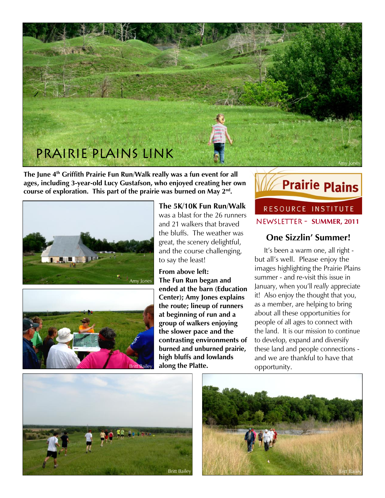

**The June 4th Griffith Prairie Fun Run/Walk really was a fun event for all ages, including 3-year-old Lucy Gustafson, who enjoyed creating her own course of exploration. This part of the prairie was burned on May 2nd .**





**The 5K/10K Fun Run/Walk**  was a blast for the 26 runners and 21 walkers that braved the bluffs. The weather was great, the scenery delightful, and the course challenging, to say the least!

**From above left: The Fun Run began and ended at the barn (Education Center); Amy Jones explains the route; lineup of runners at beginning of run and a group of walkers enjoying the slower pace and the contrasting environments of burned and unburned prairie, high bluffs and lowlands along the Platte.**



RESOURCE INSTITUTE Newsletter - **SUMMER, 2011**

# **One Sizzlin' Summer!**

 It's been a warm one, all right but all's well. Please enjoy the images highlighting the Prairie Plains summer - and re-visit this issue in January, when you'll *really* appreciate it! Also enjoy the thought that you, as a member, are helping to bring about all these opportunities for people of all ages to connect with the land. It is our mission to continue to develop, expand and diversify these land and people connections and we are thankful to have that opportunity.



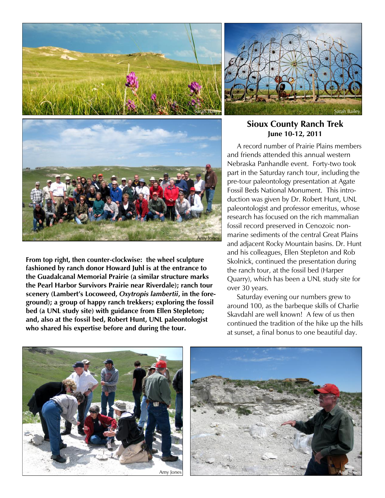





**From top right, then counter-clockwise: the wheel sculpture fashioned by ranch donor Howard Juhl is at the entrance to the Guadalcanal Memorial Prairie (a similar structure marks the Pearl Harbor Survivors Prairie near Riverdale); ranch tour scenery (Lambert's Locoweed,** *Oxytropis lambertii***, in the foreground); a group of happy ranch trekkers; exploring the fossil bed (a UNL study site) with guidance from Ellen Stepleton; and, also at the fossil bed, Robert Hunt, UNL paleontologist who shared his expertise before and during the tour.**

#### **Sioux County Ranch Trek June 10-12, 2011**

 A record number of Prairie Plains members and friends attended this annual western Nebraska Panhandle event. Forty-two took part in the Saturday ranch tour, including the pre-tour paleontology presentation at Agate Fossil Beds National Monument. This introduction was given by Dr. Robert Hunt, UNL paleontologist and professor emeritus, whose research has focused on the rich mammalian fossil record preserved in Cenozoic nonmarine sediments of the central Great Plains and adjacent Rocky Mountain basins. Dr. Hunt and his colleagues, Ellen Stepleton and Rob Skolnick, continued the presentation during the ranch tour, at the fossil bed (Harper Quarry), which has been a UNL study site for over 30 years.

 Saturday evening our numbers grew to around 100, as the barbeque skills of Charlie Skavdahl are well known! A few of us then continued the tradition of the hike up the hills at sunset, a final bonus to one beautiful day.



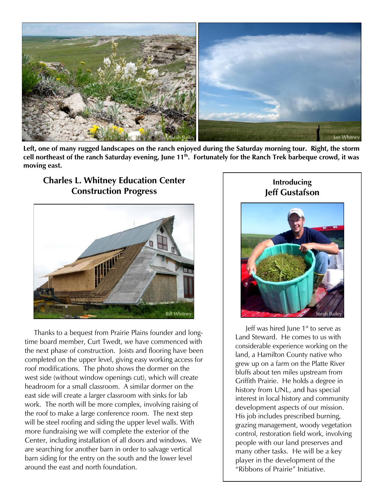

**Left, one of many rugged landscapes on the ranch enjoyed during the Saturday morning tour. Right, the storm cell northeast of the ranch Saturday evening, June 11th. Fortunately for the Ranch Trek barbeque crowd, it was moving east.**

# **Charles L. Whitney Education Center Construction Progress**



 Thanks to a bequest from Prairie Plains founder and longtime board member, Curt Twedt, we have commenced with the next phase of construction. Joists and flooring have been completed on the upper level, giving easy working access for roof modifications. The photo shows the dormer on the west side (without window openings cut), which will create headroom for a small classroom. A similar dormer on the east side will create a larger classroom with sinks for lab work. The north will be more complex, involving raising of the roof to make a large conference room. The next step will be steel roofing and siding the upper level walls. With more fundraising we will complete the exterior of the Center, including installation of all doors and windows. We are searching for another barn in order to salvage vertical barn siding for the entry on the south and the lower level around the east and north foundation.

## **Introducing Jeff Gustafson**



Leff was hired lune  $1<sup>st</sup>$  to serve as Land Steward. He comes to us with considerable experience working on the land, a Hamilton County native who grew up on a farm on the Platte River bluffs about ten miles upstream from Griffith Prairie. He holds a degree in history from UNL, and has special interest in local history and community development aspects of our mission. His job includes prescribed burning, grazing management, woody vegetation control, restoration field work, involving people with our land preserves and many other tasks. He will be a key player in the development of the "Ribbons of Prairie" Initiative.